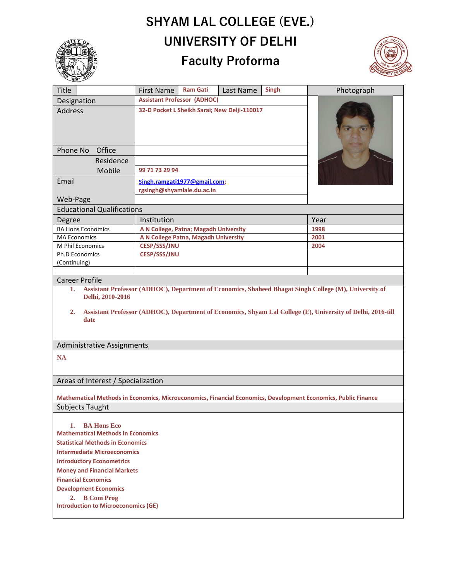## **SHYAM LAL COLLEGE (EVE.) UNIVERSITY OF DELHI**





| <b>First Name</b>                                                                                                                             | <b>Ram Gati</b> | Last Name                  |                                                                                                               | Photograph                                                                                                            |
|-----------------------------------------------------------------------------------------------------------------------------------------------|-----------------|----------------------------|---------------------------------------------------------------------------------------------------------------|-----------------------------------------------------------------------------------------------------------------------|
| <b>Assistant Professor (ADHOC)</b>                                                                                                            |                 |                            |                                                                                                               |                                                                                                                       |
| 32-D Pocket L Sheikh Sarai; New Delji-110017                                                                                                  |                 |                            |                                                                                                               |                                                                                                                       |
|                                                                                                                                               |                 |                            |                                                                                                               |                                                                                                                       |
|                                                                                                                                               |                 |                            |                                                                                                               |                                                                                                                       |
| 99 71 73 29 94                                                                                                                                |                 |                            |                                                                                                               |                                                                                                                       |
|                                                                                                                                               |                 |                            |                                                                                                               |                                                                                                                       |
|                                                                                                                                               |                 |                            |                                                                                                               |                                                                                                                       |
|                                                                                                                                               |                 |                            |                                                                                                               |                                                                                                                       |
| Web-Page<br><b>Educational Qualifications</b>                                                                                                 |                 |                            |                                                                                                               |                                                                                                                       |
|                                                                                                                                               |                 |                            |                                                                                                               | Year                                                                                                                  |
|                                                                                                                                               |                 |                            |                                                                                                               | 1998                                                                                                                  |
|                                                                                                                                               |                 |                            |                                                                                                               | 2001                                                                                                                  |
| <b>CESP/SSS/JNU</b>                                                                                                                           |                 |                            |                                                                                                               | 2004                                                                                                                  |
| <b>CESP/SSS/JNU</b>                                                                                                                           |                 |                            |                                                                                                               |                                                                                                                       |
|                                                                                                                                               |                 |                            |                                                                                                               |                                                                                                                       |
|                                                                                                                                               |                 |                            |                                                                                                               |                                                                                                                       |
| <b>Career Profile</b><br>1.                                                                                                                   |                 |                            |                                                                                                               |                                                                                                                       |
| Delhi, 2010-2016<br>Assistant Professor (ADHOC), Department of Economics, Shyam Lal College (E), University of Delhi, 2016-till<br>2.<br>date |                 |                            |                                                                                                               |                                                                                                                       |
| <b>Administrative Assignments</b>                                                                                                             |                 |                            |                                                                                                               |                                                                                                                       |
| <b>NA</b>                                                                                                                                     |                 |                            |                                                                                                               |                                                                                                                       |
| Areas of Interest / Specialization                                                                                                            |                 |                            |                                                                                                               |                                                                                                                       |
| Mathematical Methods in Economics, Microeconomics, Financial Economics, Development Economics, Public Finance                                 |                 |                            |                                                                                                               |                                                                                                                       |
| Subjects Taught                                                                                                                               |                 |                            |                                                                                                               |                                                                                                                       |
| <b>BA Hons Eco</b><br>1.<br><b>Mathematical Methods in Economics</b><br><b>Statistical Methods in Economics</b>                               |                 |                            |                                                                                                               |                                                                                                                       |
| <b>Intermediate Microeconomics</b>                                                                                                            |                 |                            |                                                                                                               |                                                                                                                       |
| <b>Introductory Econometrics</b>                                                                                                              |                 |                            |                                                                                                               |                                                                                                                       |
| <b>Money and Financial Markets</b>                                                                                                            |                 |                            |                                                                                                               |                                                                                                                       |
| <b>Financial Economics</b>                                                                                                                    |                 |                            |                                                                                                               |                                                                                                                       |
|                                                                                                                                               |                 |                            |                                                                                                               |                                                                                                                       |
|                                                                                                                                               |                 |                            |                                                                                                               |                                                                                                                       |
| <b>Introduction to Microeconomics (GE)</b>                                                                                                    |                 |                            |                                                                                                               |                                                                                                                       |
|                                                                                                                                               | Institution     | rgsingh@shyamlale.du.ac.in | Singh.ramgati1977@gmail.com;<br>A N College, Patna; Magadh University<br>A N College Patna, Magadh University | <b>Singh</b><br>Assistant Professor (ADHOC), Department of Economics, Shaheed Bhagat Singh College (M), University of |